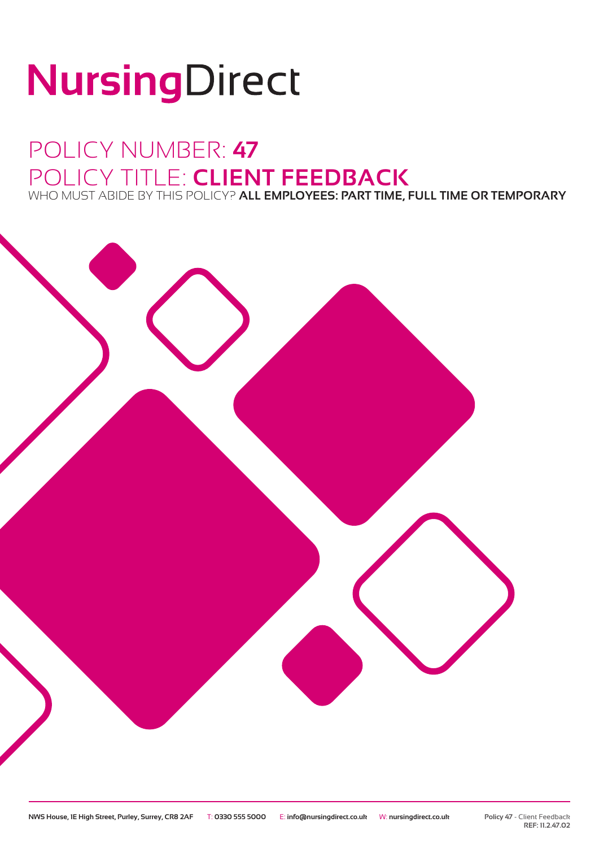# NursingDirect

## POLICY NUMBER: **47** POLICY TITLE: **CLIENT FEEDBACK** WHO MUST ABIDE BY THIS POLICY? **ALL EMPLOYEES: PART TIME, FULL TIME OR TEMPORARY**